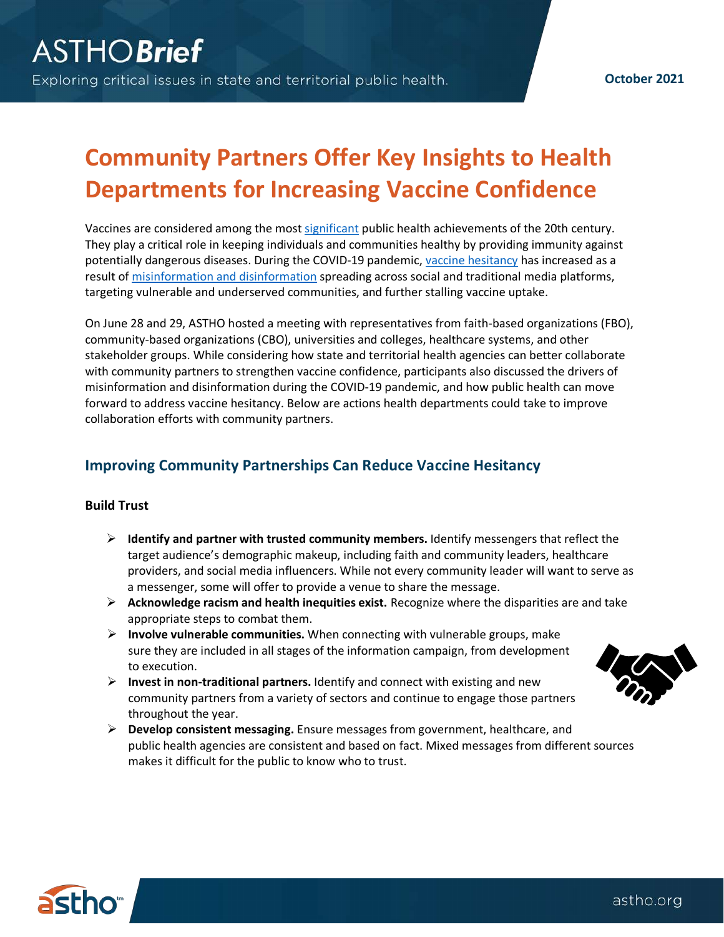# **Community Partners Offer Key Insights to Health Departments for Increasing Vaccine Confidence**

Vaccines are considered among the most [significant](https://www.cdc.gov/mmwr/pdf/wk/mm4812.pdf) public health achievements of the 20th century. They play a critical role in keeping individuals and communities healthy by providing immunity against potentially dangerous diseases. During the COVID-19 pandemic, [vaccine hesitancy](https://www.who.int/immunization/research/forums_and_initiatives/1_RButler_VH_Threat_Child_Health_gvirf16.pdf) has increased as a result o[f misinformation and disinformation](https://www.cdc.gov/vaccines/covid-19/health-departments/addressing-vaccine-misinformation.html) spreading across social and traditional media platforms, targeting vulnerable and underserved communities, and further stalling vaccine uptake.

On June 28 and 29, ASTHO hosted a meeting with representatives from faith-based organizations (FBO), community-based organizations (CBO), universities and colleges, healthcare systems, and other stakeholder groups. While considering how state and territorial health agencies can better collaborate with community partners to strengthen vaccine confidence, participants also discussed the drivers of misinformation and disinformation during the COVID-19 pandemic, and how public health can move forward to address vaccine hesitancy. Below are actions health departments could take to improve collaboration efforts with community partners.

## **Improving Community Partnerships Can Reduce Vaccine Hesitancy**

### **Build Trust**

- **Identify and partner with trusted community members.** Identify messengers that reflect the target audience's demographic makeup, including faith and community leaders, healthcare providers, and social media influencers. While not every community leader will want to serve as a messenger, some will offer to provide a venue to share the message.
- **Acknowledge racism and health inequities exist.** Recognize where the disparities are and take appropriate steps to combat them.
- **Involve vulnerable communities.** When connecting with vulnerable groups, make sure they are included in all stages of the information campaign, from development to execution.
- **Invest in non-traditional partners.** Identify and connect with existing and new community partners from a variety of sectors and continue to engage those partners throughout the year.
- **Develop consistent messaging.** Ensure messages from government, healthcare, and public health agencies are consistent and based on fact. Mixed messages from different sources makes it difficult for the public to know who to trust.